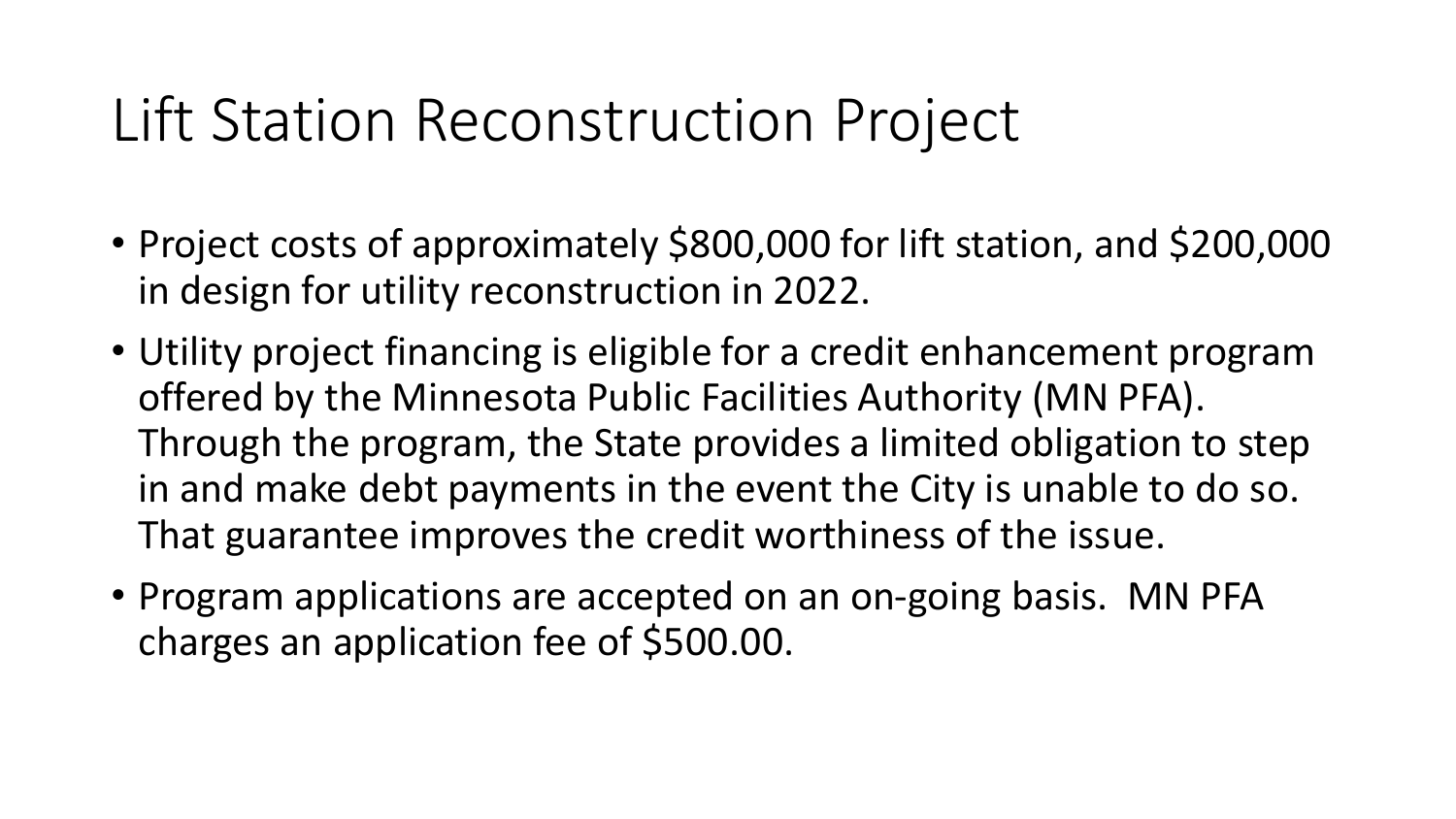## Lift Station Reconstruction Project

- Project costs of approximately \$800,000 for lift station, and \$200,000 in design for utility reconstruction in 2022.
- Utility project financing is eligible for a credit enhancement program offered by the Minnesota Public Facilities Authority (MN PFA). Through the program, the State provides a limited obligation to step in and make debt payments in the event the City is unable to do so. That guarantee improves the credit worthiness of the issue.
- Program applications are accepted on an on-going basis. MN PFA charges an application fee of \$500.00.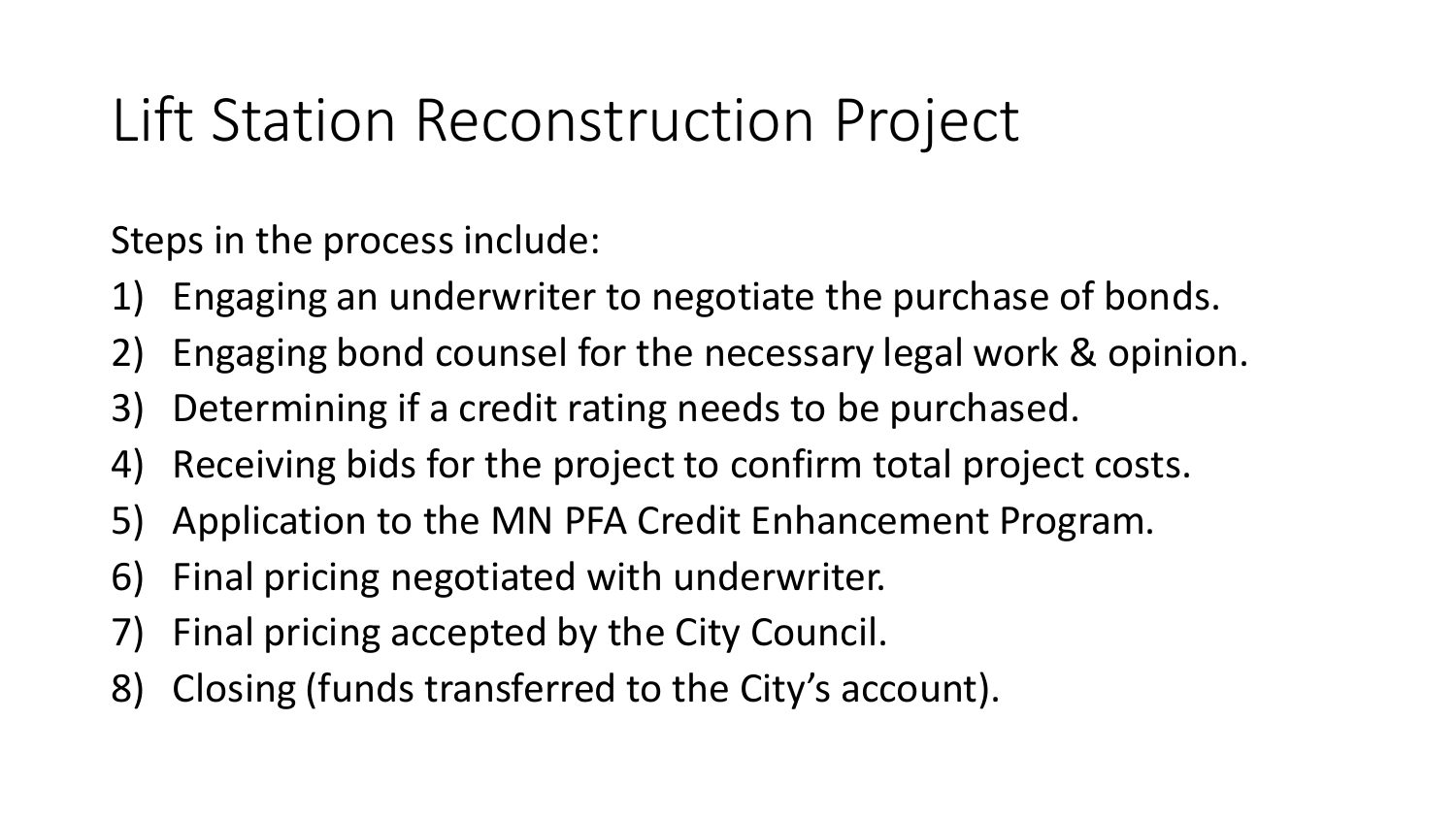## Lift Station Reconstruction Project

Steps in the process include:

- 1) Engaging an underwriter to negotiate the purchase of bonds.
- 2) Engaging bond counsel for the necessary legal work & opinion.
- 3) Determining if a credit rating needs to be purchased.
- 4) Receiving bids for the project to confirm total project costs.
- 5) Application to the MN PFA Credit Enhancement Program.
- 6) Final pricing negotiated with underwriter.
- 7) Final pricing accepted by the City Council.
- 8) Closing (funds transferred to the City's account).